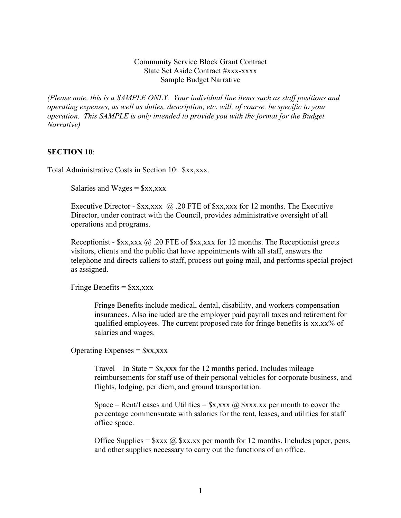## Community Service Block Grant Contract State Set Aside Contract #xxx-xxxx Sample Budget Narrative

*(Please note, this is a SAMPLE ONLY. Your individual line items such as staff positions and operating expenses, as well as duties, description, etc. will, of course, be specific to your operation. This SAMPLE is only intended to provide you with the format for the Budget Narrative)*

## **SECTION 10**:

Total Administrative Costs in Section 10: \$xx,xxx.

Salaries and Wages =  $x,xxx$ 

Executive Director -  $x, x \in \mathbb{Q}$ . 20 FTE of  $x, x \in \mathbb{Z}$  and 12 months. The Executive Director, under contract with the Council, provides administrative oversight of all operations and programs.

Receptionist -  $\frac{5}{x}$ x,xxx  $\omega$  . 20 FTE of  $\frac{5}{x}$ x,xxx for 12 months. The Receptionist greets visitors, clients and the public that have appointments with all staff, answers the telephone and directs callers to staff, process out going mail, and performs special project as assigned.

Fringe Benefits  $=$  \$xx, xxx

Fringe Benefits include medical, dental, disability, and workers compensation insurances. Also included are the employer paid payroll taxes and retirement for qualified employees. The current proposed rate for fringe benefits is xx.xx% of salaries and wages.

Operating Expenses  $=$   $\frac{6}{3}$ xx, xxx

Travel – In State =  $x, xxx$  for the 12 months period. Includes mileage reimbursements for staff use of their personal vehicles for corporate business, and flights, lodging, per diem, and ground transportation.

Space – Rent/Leases and Utilities =  $x, x \in \mathbb{Q}$   $x, x \in \mathbb{Q}$  xxx. Xx per month to cover the percentage commensurate with salaries for the rent, leases, and utilities for staff office space.

Office Supplies =  $\frac{5}{x} \cdot \frac{2}{x} \cdot \frac{5}{x} \cdot \frac{5}{x}$  per month for 12 months. Includes paper, pens, and other supplies necessary to carry out the functions of an office.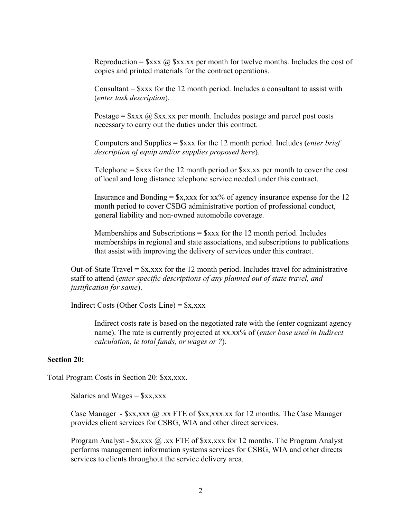Reproduction =  $\frac{2}{x}x \times a \cdot \frac{2}{x}x$  per month for twelve months. Includes the cost of copies and printed materials for the contract operations.

Consultant  $=$  \$xxx for the 12 month period. Includes a consultant to assist with (*enter task description*).

Postage =  $x \times a$   $\hat{a}$  xx.xx per month. Includes postage and parcel post costs necessary to carry out the duties under this contract.

Computers and Supplies = \$xxx for the 12 month period. Includes (*enter brief description of equip and/or supplies proposed here*).

Telephone  $=$  \$xxx for the 12 month period or \$xx.xx per month to cover the cost of local and long distance telephone service needed under this contract.

Insurance and Bonding  $=$  \$x,xxx for xx% of agency insurance expense for the 12 month period to cover CSBG administrative portion of professional conduct, general liability and non-owned automobile coverage.

Memberships and Subscriptions  $=$  \$xxx for the 12 month period. Includes memberships in regional and state associations, and subscriptions to publications that assist with improving the delivery of services under this contract.

Out-of-State Travel =  $x,xxx$  for the 12 month period. Includes travel for administrative staff to attend (*enter specific descriptions of any planned out of state travel, and justification for same*).

Indirect Costs (Other Costs Line) =  $x,xxx$ 

Indirect costs rate is based on the negotiated rate with the (enter cognizant agency name). The rate is currently projected at xx.xx% of (*enter base used in Indirect calculation, ie total funds, or wages or ?*).

## **Section 20:**

Total Program Costs in Section 20: \$xx,xxx.

Salaries and Wages =  $x, xxx$ 

Case Manager -  $x, x \times a$ , xx FTE of  $x, x \times x$ , xxx.xx for 12 months. The Case Manager provides client services for CSBG, WIA and other direct services.

Program Analyst -  $x, x \times \mathbb{Q}$  .xx FTE of  $x, x \times x$  for 12 months. The Program Analyst performs management information systems services for CSBG, WIA and other directs services to clients throughout the service delivery area.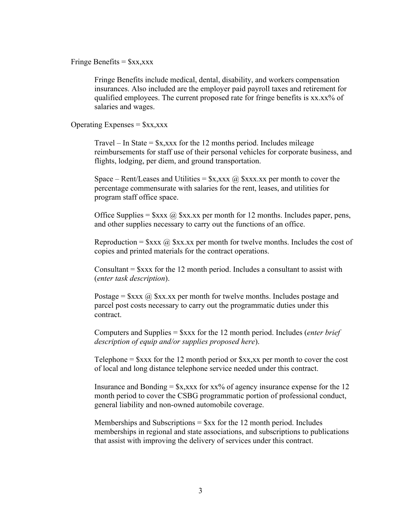Fringe Benefits =  $x, xxx$ 

Fringe Benefits include medical, dental, disability, and workers compensation insurances. Also included are the employer paid payroll taxes and retirement for qualified employees. The current proposed rate for fringe benefits is xx.xx% of salaries and wages.

Operating Expenses  $=$   $\frac{6}{3}$ xx, xxx

Travel – In State =  $x, xxx$  for the 12 months period. Includes mileage reimbursements for staff use of their personal vehicles for corporate business, and flights, lodging, per diem, and ground transportation.

Space – Rent/Leases and Utilities =  $x, x \in \mathbb{Q}$   $x, x \in \mathbb{Q}$  xxx.  $x \in \mathbb{Q}$  remorth to cover the percentage commensurate with salaries for the rent, leases, and utilities for program staff office space.

Office Supplies =  $\frac{8}{x} \times \frac{a}{x} \cdot \frac{8}{x} \cdot x$  per month for 12 months. Includes paper, pens, and other supplies necessary to carry out the functions of an office.

Reproduction =  $\frac{5x}{x}$   $\frac{a}{x}$   $\frac{5x}{x}$  are month for twelve months. Includes the cost of copies and printed materials for the contract operations.

Consultant  $=$  \$xxx for the 12 month period. Includes a consultant to assist with (*enter task description*).

Postage =  $\frac{8}{x}$   $\frac{8}{x}$   $\frac{8}{x}$   $\frac{8}{x}$   $\frac{8}{x}$  per month for twelve months. Includes postage and parcel post costs necessary to carry out the programmatic duties under this contract.

Computers and Supplies = \$xxx for the 12 month period. Includes (*enter brief description of equip and/or supplies proposed here*).

Telephone  $=$  \$xxx for the 12 month period or \$xx,xx per month to cover the cost of local and long distance telephone service needed under this contract.

Insurance and Bonding  $=$  \$x,xxx for xx% of agency insurance expense for the 12 month period to cover the CSBG programmatic portion of professional conduct, general liability and non-owned automobile coverage.

Memberships and Subscriptions  $=$  \$xx for the 12 month period. Includes memberships in regional and state associations, and subscriptions to publications that assist with improving the delivery of services under this contract.